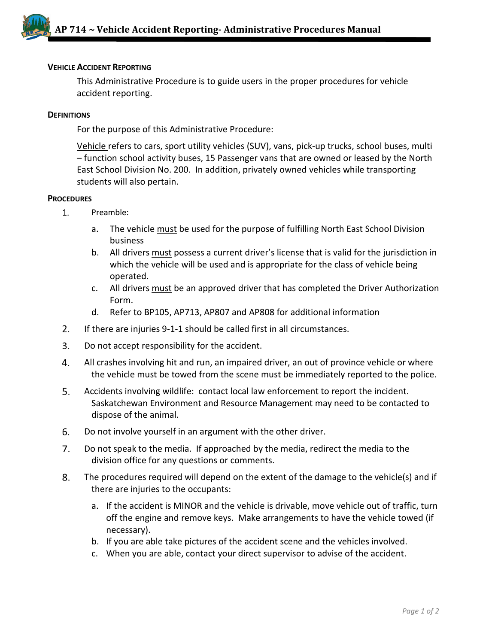

## **VEHICLE ACCIDENT REPORTING**

This Administrative Procedure is to guide users in the proper procedures for vehicle accident reporting.

## **DEFINITIONS**

For the purpose of this Administrative Procedure:

Vehicle refers to cars, sport utility vehicles (SUV), vans, pick-up trucks, school buses, multi – function school activity buses, 15 Passenger vans that are owned or leased by the North East School Division No. 200. In addition, privately owned vehicles while transporting students will also pertain.

## **PROCEDURES**

- $1.$ Preamble:
	- a. The vehicle must be used for the purpose of fulfilling North East School Division business
	- b. All drivers must possess a current driver's license that is valid for the jurisdiction in which the vehicle will be used and is appropriate for the class of vehicle being operated.
	- c. All drivers must be an approved driver that has completed the Driver Authorization Form.
	- d. Refer to BP105, AP713, AP807 and AP808 for additional information
- $2.$ If there are injuries 9-1-1 should be called first in all circumstances.
- $3.$ Do not accept responsibility for the accident.
- 4. All crashes involving hit and run, an impaired driver, an out of province vehicle or where the vehicle must be towed from the scene must be immediately reported to the police.
- 5. Accidents involving wildlife: contact local law enforcement to report the incident. Saskatchewan Environment and Resource Management may need to be contacted to dispose of the animal.
- 6. Do not involve yourself in an argument with the other driver.
- $7.$ Do not speak to the media. If approached by the media, redirect the media to the division office for any questions or comments.
- 8. The procedures required will depend on the extent of the damage to the vehicle(s) and if there are injuries to the occupants:
	- a. If the accident is MINOR and the vehicle is drivable, move vehicle out of traffic, turn off the engine and remove keys. Make arrangements to have the vehicle towed (if necessary).
	- b. If you are able take pictures of the accident scene and the vehicles involved.
	- c. When you are able, contact your direct supervisor to advise of the accident.